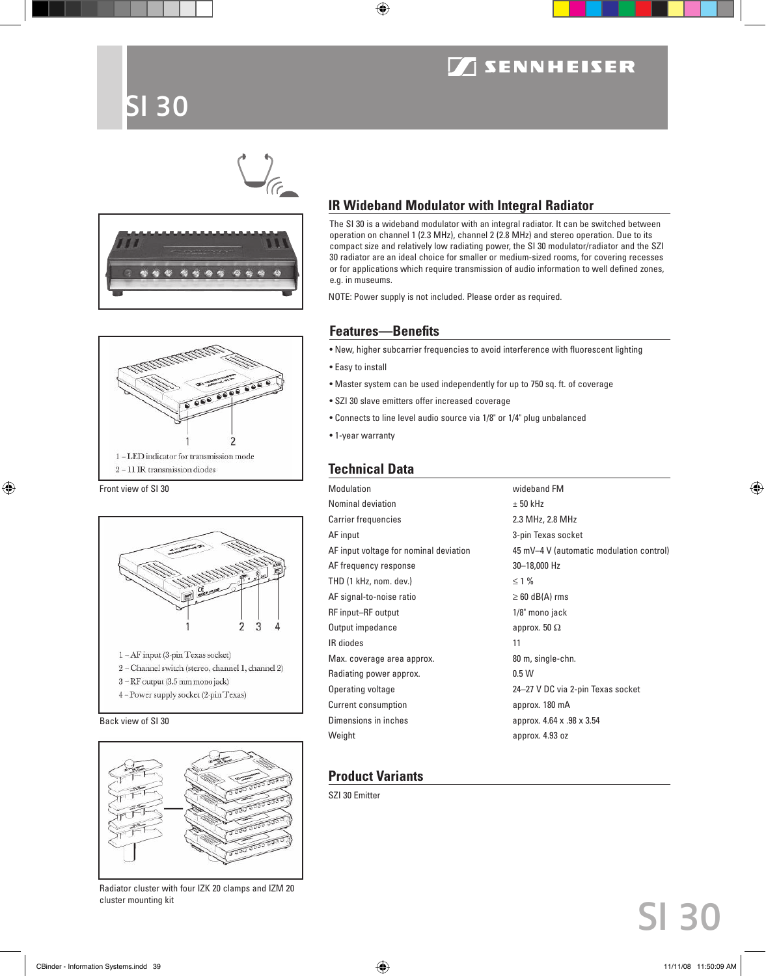### **SENNHEISER**

### SI 30







Front view of SI 30



Back view of SI 30



Radiator cluster with four IZK 20 clamps and IZM 20 cluster mounting kit

### **IR Wideband Modulator with Integral Radiator**

The SI 30 is a wideband modulator with an integral radiator. It can be switched between operation on channel 1 (2.3 MHz), channel 2 (2.8 MHz) and stereo operation. Due to its compact size and relatively low radiating power, the SI 30 modulator/radiator and the SZI 30 radiator are an ideal choice for smaller or medium-sized rooms, for covering recesses or for applications which require transmission of audio information to well defined zones, e.g. in museums.

NOTE: Power supply is not included. Please order as required.

### **Features—Benefits**

• New, higher subcarrier frequencies to avoid interference with fluorescent lighting

- Easy to install
- Master system can be used independently for up to 750 sq. ft. of coverage
- SZI 30 slave emitters offer increased coverage
- Connects to line level audio source via 1/8" or 1/4" plug unbalanced
- 1-year warranty

### **Technical Data**

| <b>Modulation</b>                      | wideband FM                              |
|----------------------------------------|------------------------------------------|
| Nominal deviation                      | $± 50$ kHz                               |
| <b>Carrier frequencies</b>             | 2.3 MHz, 2.8 MHz                         |
| AF input                               | 3-pin Texas socket                       |
| AF input voltage for nominal deviation | 45 mV-4 V (automatic modulation control) |
| AF frequency response                  | 30-18,000 Hz                             |
| THD (1 kHz, nom. dev.)                 | $\leq$ 1 %                               |
| AF signal-to-noise ratio               | $\geq 60$ dB(A) rms                      |
| RF input-RF output                     | 1/8" mono jack                           |
| Output impedance                       | approx. 50 $\Omega$                      |
| IR diodes                              | 11                                       |
| Max. coverage area approx.             | 80 m, single-chn.                        |
| Radiating power approx.                | 0.5W                                     |
| Operating voltage                      | 24-27 V DC via 2-pin Texas socket        |
| Current consumption                    | approx. 180 mA                           |
| Dimensions in inches                   | approx. 4.64 x .98 x 3.54                |
| Weight                                 | approx. 4.93 oz                          |

### **Product Variants**

SZI 30 Emitter

## SI 30